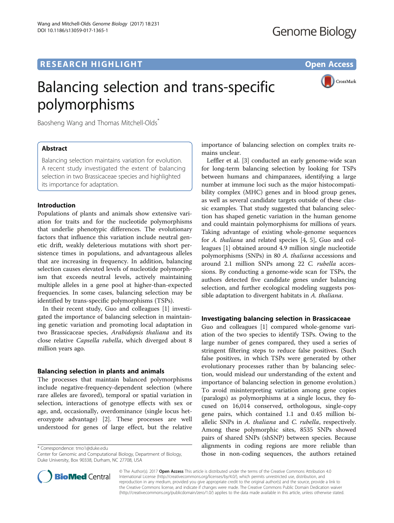

# Balancing selection and trans-specific polymorphisms

Baosheng Wang and Thomas Mitchell-Olds<sup>7</sup>

## Abstract

Balancing selection maintains variation for evolution. A recent study investigated the extent of balancing selection in two Brassicaceae species and highlighted its importance for adaptation.

## Introduction

Populations of plants and animals show extensive variation for traits and for the nucleotide polymorphisms that underlie phenotypic differences. The evolutionary factors that influence this variation include neutral genetic drift, weakly deleterious mutations with short persistence times in populations, and advantageous alleles that are increasing in frequency. In addition, balancing selection causes elevated levels of nucleotide polymorphism that exceeds neutral levels, actively maintaining multiple alleles in a gene pool at higher-than-expected frequencies. In some cases, balancing selection may be identified by trans-specific polymorphisms (TSPs).

In their recent study, Guo and colleagues [\[1](#page-2-0)] investigated the importance of balancing selection in maintaining genetic variation and promoting local adaptation in two Brassicaceae species, Arabidopsis thaliana and its close relative Capsella rubella, which diverged about 8 million years ago.

## Balancing selection in plants and animals

The processes that maintain balanced polymorphisms include negative-frequency-dependent selection (where rare alleles are favored), temporal or spatial variation in selection, interactions of genotype effects with sex or age, and, occasionally, overdominance (single locus heterozygote advantage) [\[2\]](#page-2-0). These processes are well understood for genes of large effect, but the relative

\* Correspondence: [tmo1@duke.edu](mailto:tmo1@duke.edu)



Leffler et al. [[3\]](#page-2-0) conducted an early genome-wide scan for long-term balancing selection by looking for TSPs between humans and chimpanzees, identifying a large number at immune loci such as the major histocompatibility complex (MHC) genes and in blood group genes, as well as several candidate targets outside of these classic examples. That study suggested that balancing selection has shaped genetic variation in the human genome and could maintain polymorphisms for millions of years. Taking advantage of existing whole-genome sequences for A. thaliana and related species [[4, 5](#page-2-0)], Guo and colleagues [[1](#page-2-0)] obtained around 4.9 million single nucleotide polymorphisms (SNPs) in 80 A. thaliana accessions and around 2.1 million SNPs among 22 C. rubella accessions. By conducting a genome-wide scan for TSPs, the authors detected five candidate genes under balancing selection, and further ecological modeling suggests possible adaptation to divergent habitats in A. thaliana.

## Investigating balancing selection in Brassicaceae

Guo and colleagues [[1\]](#page-2-0) compared whole-genome variation of the two species to identify TSPs. Owing to the large number of genes compared, they used a series of stringent filtering steps to reduce false positives. (Such false positives, in which TSPs were generated by other evolutionary processes rather than by balancing selection, would mislead our understanding of the extent and importance of balancing selection in genome evolution.) To avoid misinterpreting variation among gene copies (paralogs) as polymorphisms at a single locus, they focused on 16,014 conserved, orthologous, single-copy gene pairs, which contained 1.1 and 0.45 million biallelic SNPs in A. thaliana and C. rubella, respectively. Among these polymorphic sites, 8535 SNPs showed pairs of shared SNPs (shSNP) between species. Because alignments in coding regions are more reliable than those in non-coding sequences, the authors retained



© The Author(s). 2017 Open Access This article is distributed under the terms of the Creative Commons Attribution 4.0 International License [\(http://creativecommons.org/licenses/by/4.0/](http://creativecommons.org/licenses/by/4.0/)), which permits unrestricted use, distribution, and reproduction in any medium, provided you give appropriate credit to the original author(s) and the source, provide a link to the Creative Commons license, and indicate if changes were made. The Creative Commons Public Domain Dedication waiver [\(http://creativecommons.org/publicdomain/zero/1.0/](http://creativecommons.org/publicdomain/zero/1.0/)) applies to the data made available in this article, unless otherwise stated.

Center for Genomic and Computational Biology, Department of Biology, Duke University, Box 90338, Durham, NC 27708, USA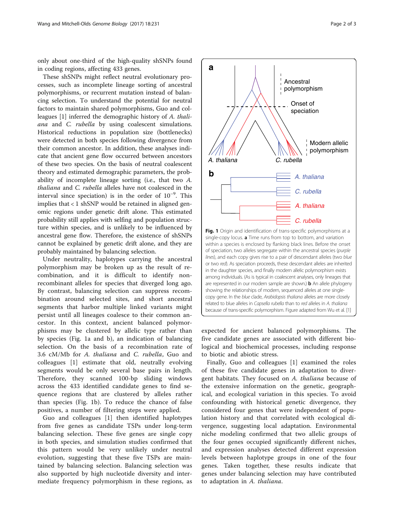only about one-third of the high-quality shSNPs found in coding regions, affecting 433 genes.

These shSNPs might reflect neutral evolutionary processes, such as incomplete lineage sorting of ancestral polymorphisms, or recurrent mutation instead of balancing selection. To understand the potential for neutral factors to maintain shared polymorphisms, Guo and colleagues [[1\]](#page-2-0) inferred the demographic history of A. thaliana and C. rubella by using coalescent simulations. Historical reductions in population size (bottlenecks) were detected in both species following divergence from their common ancestor. In addition, these analyses indicate that ancient gene flow occurred between ancestors of these two species. On the basis of neutral coalescent theory and estimated demographic parameters, the probability of incomplete lineage sorting (i.e., that two A. thaliana and C. rubella alleles have not coalesced in the interval since speciation) is in the order of  $10^{-9}$ . This implies that < 1 shSNP would be retained in aligned genomic regions under genetic drift alone. This estimated probability still applies with selfing and population structure within species, and is unlikely to be influenced by ancestral gene flow. Therefore, the existence of shSNPs cannot be explained by genetic drift alone, and they are probably maintained by balancing selection.

Under neutrality, haplotypes carrying the ancestral polymorphism may be broken up as the result of recombination, and it is difficult to identify nonrecombinant alleles for species that diverged long ago. By contrast, balancing selection can suppress recombination around selected sites, and short ancestral segments that harbor multiple linked variants might persist until all lineages coalesce to their common ancestor. In this context, ancient balanced polymorphisms may be clustered by allelic type rather than by species (Fig. 1a and b), an indication of balancing selection. On the basis of a recombination rate of 3.6 cM/Mb for A. thaliana and C. rubella, Guo and colleagues [\[1](#page-2-0)] estimate that old, neutrally evolving segments would be only several base pairs in length. Therefore, they scanned 100-bp sliding windows across the 433 identified candidate genes to find sequence regions that are clustered by alleles rather than species (Fig. 1b). To reduce the chance of false positives, a number of filtering steps were applied.

Guo and colleagues [[1\]](#page-2-0) then identified haplotypes from five genes as candidate TSPs under long-term balancing selection. These five genes are single copy in both species, and simulation studies confirmed that this pattern would be very unlikely under neutral evolution, suggesting that these five TSPs are maintained by balancing selection. Balancing selection was also supported by high nucleotide diversity and intermediate frequency polymorphism in these regions, as



expected for ancient balanced polymorphisms. The five candidate genes are associated with different biological and biochemical processes, including response to biotic and abiotic stress.

Finally, Guo and colleagues [[1\]](#page-2-0) examined the roles of these five candidate genes in adaptation to divergent habitats. They focused on A. thaliana because of the extensive information on the genetic, geographical, and ecological variation in this species. To avoid confounding with historical genetic divergence, they considered four genes that were independent of population history and that correlated with ecological divergence, suggesting local adaptation. Environmental niche modeling confirmed that two allelic groups of the four genes occupied significantly different niches, and expression analyses detected different expression levels between haplotype groups in one of the four genes. Taken together, these results indicate that genes under balancing selection may have contributed to adaptation in A. thaliana.